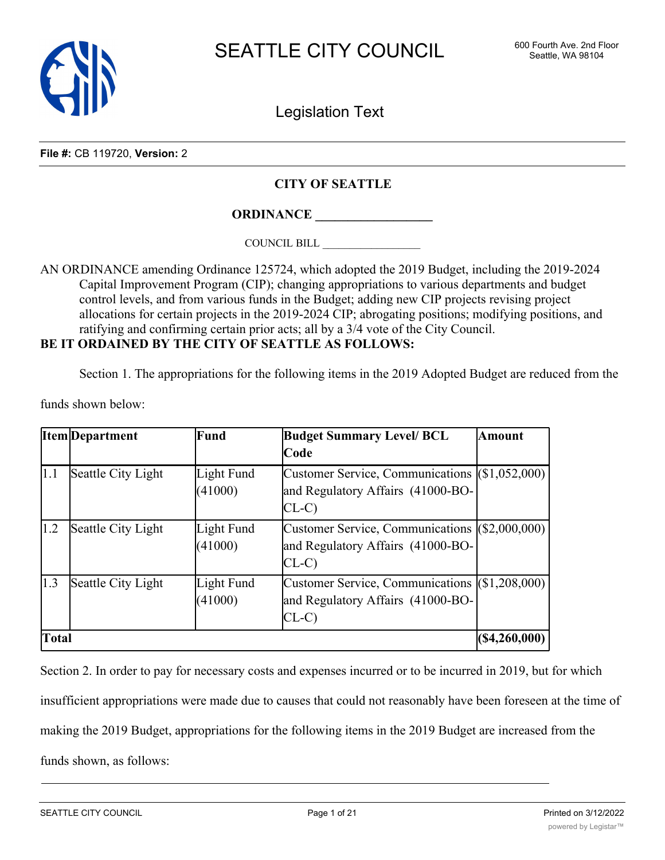

Legislation Text

**File #:** CB 119720, **Version:** 2

### **CITY OF SEATTLE**

**ORDINANCE \_\_\_\_\_\_\_\_\_\_\_\_\_\_\_\_\_\_**

COUNCIL BILL \_\_\_\_\_\_\_\_\_\_\_\_\_\_\_\_\_\_

AN ORDINANCE amending Ordinance 125724, which adopted the 2019 Budget, including the 2019-2024 Capital Improvement Program (CIP); changing appropriations to various departments and budget control levels, and from various funds in the Budget; adding new CIP projects revising project allocations for certain projects in the 2019-2024 CIP; abrogating positions; modifying positions, and ratifying and confirming certain prior acts; all by a 3/4 vote of the City Council. **BE IT ORDAINED BY THE CITY OF SEATTLE AS FOLLOWS:**

Section 1. The appropriations for the following items in the 2019 Adopted Budget are reduced from the

funds shown below:

|              | Item Department    | Fund                  | <b>Budget Summary Level/ BCL</b>                                                              | <b>Amount</b>  |
|--------------|--------------------|-----------------------|-----------------------------------------------------------------------------------------------|----------------|
|              |                    |                       | Code                                                                                          |                |
| 1.1          | Seattle City Light | Light Fund<br>(41000) | Customer Service, Communications (\$1,052,000)<br>and Regulatory Affairs (41000-BO-<br>$CL-C$ |                |
| 1.2          | Seattle City Light | Light Fund<br>(41000) | Customer Service, Communications (\$2,000,000)<br>and Regulatory Affairs (41000-BO-<br>$CL-C$ |                |
| 1.3          | Seattle City Light | Light Fund<br>(41000) | Customer Service, Communications (\$1,208,000)<br>and Regulatory Affairs (41000-BO-<br>$CL-C$ |                |
| <b>Total</b> |                    |                       |                                                                                               | (S4, 260, 000) |

Section 2. In order to pay for necessary costs and expenses incurred or to be incurred in 2019, but for which insufficient appropriations were made due to causes that could not reasonably have been foreseen at the time of making the 2019 Budget, appropriations for the following items in the 2019 Budget are increased from the funds shown, as follows: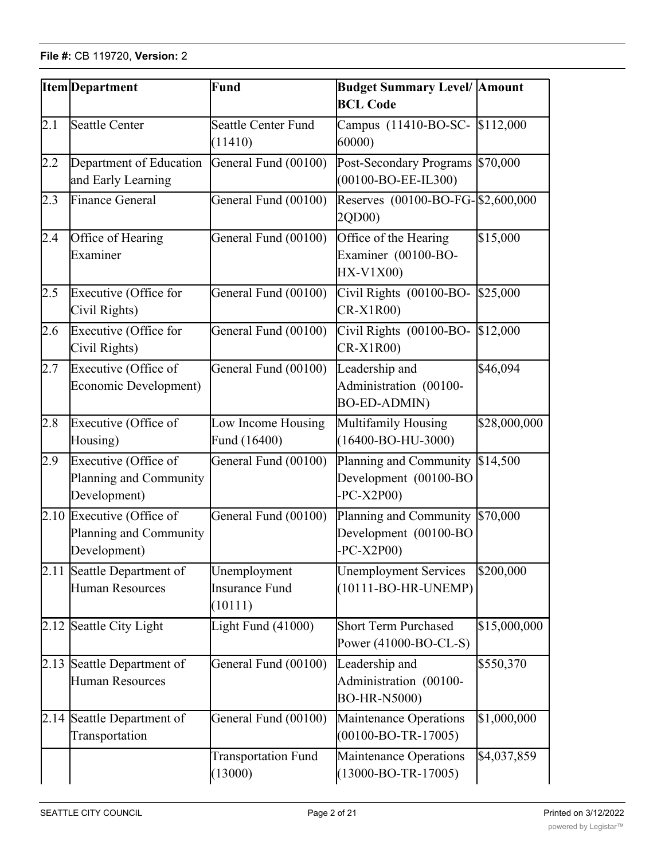|      | <b>Item</b> Department                                              | Fund                                      | <b>Budget Summary Level/ Amount</b><br><b>BCL Code</b>                 |              |  |
|------|---------------------------------------------------------------------|-------------------------------------------|------------------------------------------------------------------------|--------------|--|
| 2.1  | <b>Seattle Center</b>                                               | <b>Seattle Center Fund</b><br>(11410)     | Campus (11410-BO-SC- \$112,000<br>60000                                |              |  |
| 2.2  | Department of Education<br>and Early Learning                       | General Fund (00100)                      | Post-Secondary Programs \$70,000<br>$(00100 - BO - EE - IL300)$        |              |  |
| 2.3  | <b>Finance General</b>                                              | General Fund (00100)                      | Reserves (00100-BO-FG-\$2,600,000<br>2QD00)                            |              |  |
| 2.4  | Office of Hearing<br>Examiner                                       | General Fund (00100)                      | Office of the Hearing<br>Examiner (00100-BO-<br>HX-V1X00)              | \$15,000     |  |
| 2.5  | Executive (Office for<br>Civil Rights)                              | General Fund (00100)                      | Civil Rights (00100-BO-<br>$CR-X1R00$                                  | \$25,000     |  |
| 2.6  | Executive (Office for<br>Civil Rights)                              | General Fund (00100)                      | Civil Rights (00100-BO-<br>CR-X1R00)                                   | \$12,000     |  |
| 2.7  | Executive (Office of<br>Economic Development)                       | General Fund (00100)                      | Leadership and<br>Administration (00100-<br><b>BO-ED-ADMIN)</b>        | \$46,094     |  |
| 2.8  | Executive (Office of<br>Housing)                                    | Low Income Housing<br>Fund (16400)        | Multifamily Housing<br>$(16400 - BO-HU-3000)$                          | \$28,000,000 |  |
| 2.9  | Executive (Office of<br>Planning and Community<br>Development)      | General Fund (00100)                      | Planning and Community \$14,500<br>Development (00100-BO<br>$PC-X2P00$ |              |  |
|      | 2.10 Executive (Office of<br>Planning and Community<br>Development) | General Fund (00100)                      | Planning and Community<br>Development (00100-BO<br>$PC-X2P00$          | \$70,000     |  |
| 2.11 | Seattle Department of<br><b>Human Resources</b>                     | Unemployment<br>Insurance Fund<br>(10111) | \$200,000<br><b>Unemployment Services</b><br>$(10111-BO-HR-UNEMP)$     |              |  |
|      | 2.12 Seattle City Light                                             | Light Fund (41000)                        | <b>Short Term Purchased</b><br>Power (41000-BO-CL-S)                   | \$15,000,000 |  |
|      | 2.13 Seattle Department of<br><b>Human Resources</b>                | General Fund (00100)                      | Leadership and<br>Administration (00100-<br>BO-HR-N5000)               | \$550,370    |  |
|      | 2.14 Seattle Department of<br>Transportation                        | General Fund (00100)                      | Maintenance Operations<br>$(00100 - BO - TR - 17005)$                  | \$1,000,000  |  |
|      |                                                                     | <b>Transportation Fund</b><br>(13000)     | <b>Maintenance Operations</b><br>$(13000 - BO - TR - 17005)$           | \$4,037,859  |  |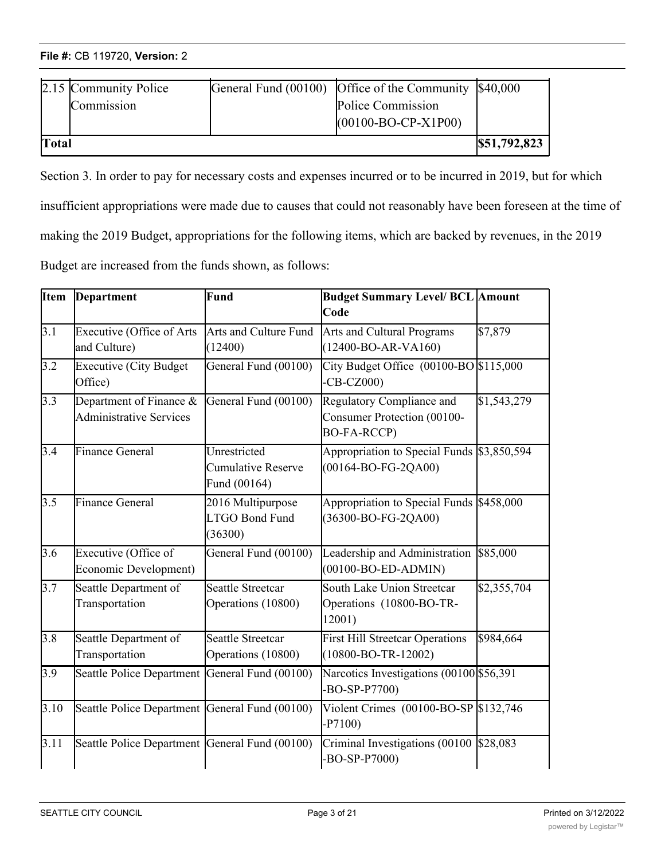| Total |                       | $(00100 - BO - CP - X1P00)$                           | \$51,792,823 |
|-------|-----------------------|-------------------------------------------------------|--------------|
|       | Commission            | Police Commission                                     |              |
|       | 2.15 Community Police | General Fund (00100) Office of the Community \$40,000 |              |

(13000)

Section 3. In order to pay for necessary costs and expenses incurred or to be incurred in 2019, but for which insufficient appropriations were made due to causes that could not reasonably have been foreseen at the time of making the 2019 Budget, appropriations for the following items, which are backed by revenues, in the 2019 Budget are increased from the funds shown, as follows:

(13000-BO-TR-17005)

| <b>I</b> tem<br>Department<br>Fund<br>Code |                                                           | <b>Budget Summary Level/ BCL Amount</b>                   |                                                                                    |             |
|--------------------------------------------|-----------------------------------------------------------|-----------------------------------------------------------|------------------------------------------------------------------------------------|-------------|
| 3.1                                        | Executive (Office of Arts<br>and Culture)                 | Arts and Culture Fund<br>(12400)                          | Arts and Cultural Programs<br>$(12400 - BO-AR-VA160)$                              | \$7,879     |
| 3.2                                        | <b>Executive (City Budget</b><br>Office)                  | General Fund (00100)                                      | City Budget Office (00100-BO \$115,000<br>$-CB-CZ000$                              |             |
| 3.3                                        | Department of Finance &<br><b>Administrative Services</b> | General Fund (00100)                                      | Regulatory Compliance and<br>Consumer Protection (00100-<br><b>BO-FA-RCCP)</b>     | \$1,543,279 |
| 3.4                                        | Finance General                                           | Unrestricted<br><b>Cumulative Reserve</b><br>Fund (00164) | Appropriation to Special Funds \$3,850,594<br>$(00164 - BO-FG-2QA00)$              |             |
| 3.5                                        | <b>Finance General</b>                                    | 2016 Multipurpose<br><b>LTGO Bond Fund</b><br>(36300)     | Appropriation to Special Funds \$458,000<br>(36300-BO-FG-2QA00)                    |             |
| 3.6                                        | Executive (Office of<br>Economic Development)             | General Fund (00100)                                      | Leadership and Administration<br>$(00100 - BO-ED-ADMIN)$                           | \$85,000    |
| 3.7                                        | Seattle Department of<br>Transportation                   | <b>Seattle Streetcar</b><br>Operations (10800)            | South Lake Union Streetcar<br>Operations (10800-BO-TR-<br>12001)                   | \$2,355,704 |
| $3.\overline{8}$                           | Seattle Department of<br>Transportation                   | <b>Seattle Streetcar</b><br>Operations (10800)            | <b>First Hill Streetcar Operations</b><br>\$984,664<br>$(10800 - BO - TR - 12002)$ |             |
| 3.9                                        | Seattle Police Department General Fund (00100)            |                                                           | Narcotics Investigations (00100 \$56,391)<br>-BO-SP-P7700)                         |             |
| $\overline{3.10}$                          | Seattle Police Department General Fund (00100)            |                                                           | Violent Crimes (00100-BO-SP \$132,746)<br>$-P7100)$                                |             |
| 3.11                                       | Seattle Police Department General Fund (00100)            |                                                           | Criminal Investigations (00100 \$28,083<br>-BO-SP-P7000)                           |             |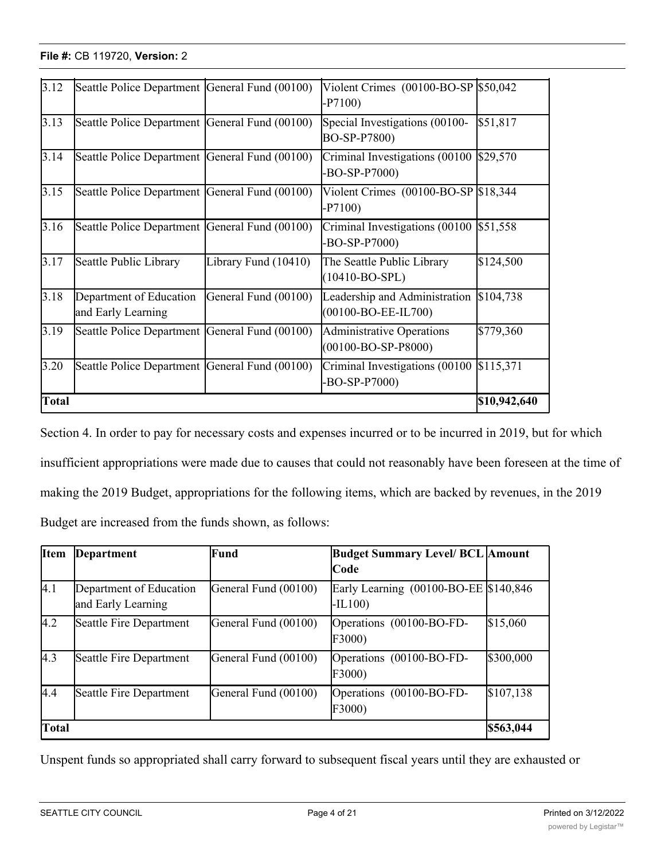| 3.12         | Seattle Police Department General Fund (00100) |                      | Violent Crimes $(00100 - BO - SP)$ \$50,042<br>$-P7100$                 |              |
|--------------|------------------------------------------------|----------------------|-------------------------------------------------------------------------|--------------|
| 3.13         | Seattle Police Department General Fund (00100) |                      | Special Investigations (00100-<br>BO-SP-P7800)                          | \$51,817     |
| 3.14         | Seattle Police Department General Fund (00100) |                      | Criminal Investigations (00100<br>$-BO-SP-P7000$                        | \$29,570     |
| 3.15         | Seattle Police Department General Fund (00100) |                      | Violent Crimes (00100-BO-SP \$18,344<br>$-P7100$                        |              |
| 3.16         | Seattle Police Department General Fund (00100) |                      | Criminal Investigations $(00100 \, \text{S}51, 558)$<br>$-BO-SP- P7000$ |              |
| 3.17         | Seattle Public Library                         | Library Fund (10410) | The Seattle Public Library<br>$(10410-BO-SPL)$                          | \$124,500    |
| 3.18         | Department of Education<br>and Early Learning  | General Fund (00100) | Leadership and Administration<br>(00100-BO-EE-IL700)                    | \$104,738    |
| 3.19         | Seattle Police Department                      | General Fund (00100) | <b>Administrative Operations</b><br>$(00100 - BO - SP - P8000)$         | \$779,360    |
| 3.20         | Seattle Police Department General Fund (00100) |                      | Criminal Investigations (00100<br>$-BO-SP- P7000$                       | \$115,371    |
| <b>Total</b> |                                                |                      |                                                                         | \$10,942,640 |

-BO-SP-P7000)<br>-BO-SP-P7000<br>-BO-SP-P7000

Section 4. In order to pay for necessary costs and expenses incurred or to be incurred in 2019, but for which insufficient appropriations were made due to causes that could not reasonably have been foreseen at the time of making the 2019 Budget, appropriations for the following items, which are backed by revenues, in the 2019 Budget are increased from the funds shown, as follows:

| Item         | Department                                    | <b>Fund</b>          | <b>Budget Summary Level/ BCL Amount</b>            |           |
|--------------|-----------------------------------------------|----------------------|----------------------------------------------------|-----------|
|              |                                               |                      | lCode                                              |           |
| 4.1          | Department of Education<br>and Early Learning | General Fund (00100) | Early Learning (00100-BO-EE \$140,846)<br>$-IL100$ |           |
| 4.2          | Seattle Fire Department                       | General Fund (00100) | Operations (00100-BO-FD-<br>F3000)                 | \$15,060  |
| 4.3          | Seattle Fire Department                       | General Fund (00100) | Operations (00100-BO-FD-<br>F3000)                 | \$300,000 |
| 4.4          | Seattle Fire Department                       | General Fund (00100) | Operations (00100-BO-FD-<br>F3000)                 | \$107,138 |
| <b>Total</b> |                                               |                      |                                                    | \$563,044 |

Unspent funds so appropriated shall carry forward to subsequent fiscal years until they are exhausted or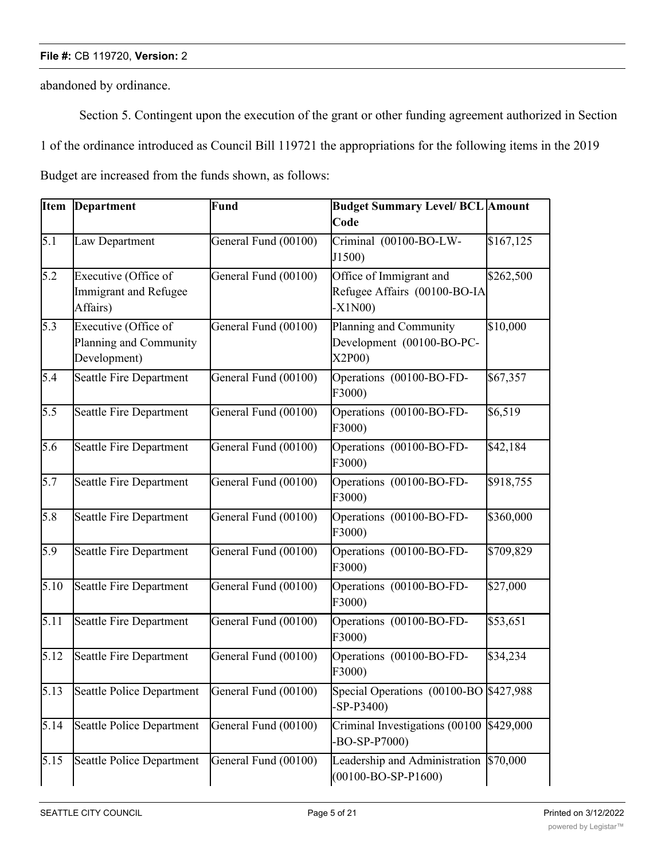abandoned by ordinance.

Section 5. Contingent upon the execution of the grant or other funding agreement authorized in Section 1 of the ordinance introduced as Council Bill 119721 the appropriations for the following items in the 2019 Budget are increased from the funds shown, as follows:

| <b>Item</b>      | Department                                                       | Fund                 | <b>Budget Summary Level/ BCL Amount</b><br>Code                     |           |
|------------------|------------------------------------------------------------------|----------------------|---------------------------------------------------------------------|-----------|
| 5.1              | Law Department                                                   | General Fund (00100) | Criminal (00100-BO-LW-<br>J1500)                                    | \$167,125 |
| 5.2              | Executive (Office of<br><b>Immigrant and Refugee</b><br>Affairs) | General Fund (00100) | Office of Immigrant and<br>Refugee Affairs (00100-BO-IA<br>$-X1N00$ | \$262,500 |
| 5.3              | Executive (Office of<br>Planning and Community<br>Development)   | General Fund (00100) | Planning and Community<br>Development (00100-BO-PC-<br>X2P00)       | \$10,000  |
| 5.4              | Seattle Fire Department                                          | General Fund (00100) | Operations (00100-BO-FD-<br>F3000)                                  | \$67,357  |
| 5.5              | Seattle Fire Department                                          | General Fund (00100) | Operations (00100-BO-FD-<br>F3000)                                  | \$6,519   |
| 5.6              | Seattle Fire Department                                          | General Fund (00100) | Operations (00100-BO-FD-<br>F3000)                                  | \$42,184  |
| 5.7              | <b>Seattle Fire Department</b>                                   | General Fund (00100) | Operations (00100-BO-FD-<br>F3000)                                  | \$918,755 |
| $\overline{5.8}$ | Seattle Fire Department                                          | General Fund (00100) | Operations (00100-BO-FD-<br>F3000)                                  | \$360,000 |
| 5.9              | Seattle Fire Department                                          | General Fund (00100) | Operations (00100-BO-FD-<br>F3000)                                  | \$709,829 |
| 5.10             | Seattle Fire Department                                          | General Fund (00100) | Operations (00100-BO-FD-<br>F3000)                                  | \$27,000  |
| 5.11             | <b>Seattle Fire Department</b>                                   | General Fund (00100) | Operations (00100-BO-FD-<br>F3000)                                  | \$53,651  |
| 5.12             | Seattle Fire Department                                          | General Fund (00100) | Operations (00100-BO-FD-<br>F3000)                                  | \$34,234  |
| 5.13             | Seattle Police Department                                        | General Fund (00100) | Special Operations (00100-BO \$427,988)<br>$-SP-P3400$              |           |
| 5.14             | <b>Seattle Police Department</b>                                 | General Fund (00100) | Criminal Investigations (00100 \$429,000<br>$-BO-SP-P7000$          |           |
| 5.15             | <b>Seattle Police Department</b>                                 | General Fund (00100) | Leadership and Administration<br>$(00100 - BO - SP - P1600)$        | \$70,000  |

5.16 Seattle Police Department General Fund (00100) Special Operations (00100-BO

\$606,044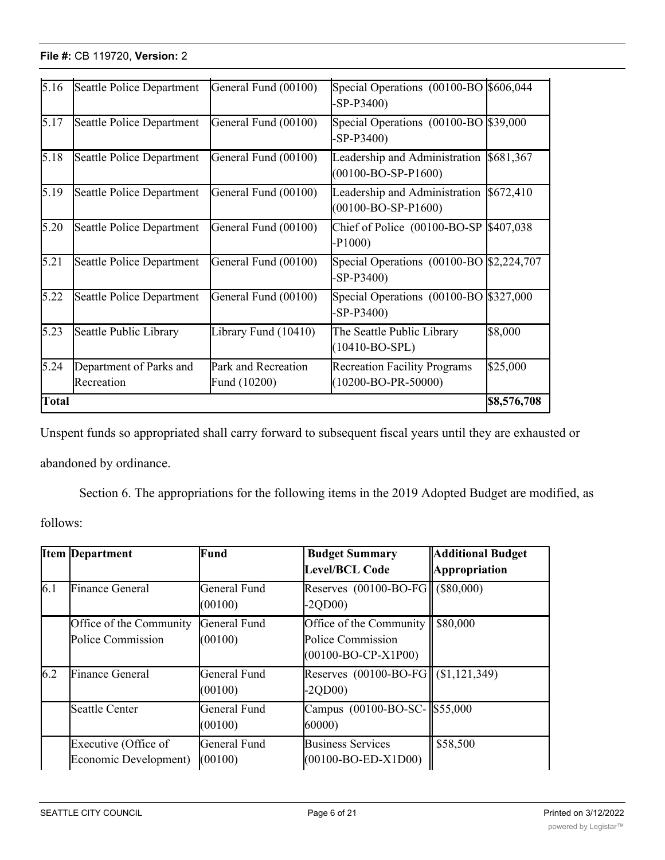| 5.16         | Seattle Police Department             | General Fund (00100)                | Special Operations (00100-BO \$606,044<br>$-SP-P3400$          |             |
|--------------|---------------------------------------|-------------------------------------|----------------------------------------------------------------|-------------|
| 5.17         | Seattle Police Department             | General Fund (00100)                | Special Operations (00100-BO \$39,000<br>$-SP-P3400$           |             |
| 5.18         | Seattle Police Department             | General Fund (00100)                | Leadership and Administration<br>$(00100 - BO - SP - P1600)$   | \$681,367   |
| 5.19         | Seattle Police Department             | General Fund (00100)                | Leadership and Administration<br>$(00100 - BO - SP - P1600)$   | \$672,410   |
| 5.20         | Seattle Police Department             | General Fund (00100)                | Chief of Police $(00100 - BO - SP)$ \$407,038<br>$-P1000$      |             |
| 5.21         | Seattle Police Department             | General Fund (00100)                | Special Operations (00100-BO \$2,224,707<br>$-SP-P3400$        |             |
| 5.22         | Seattle Police Department             | General Fund (00100)                | Special Operations (00100-BO \$327,000<br>$-SP-P3400$          |             |
| 5.23         | Seattle Public Library                | Library Fund (10410)                | The Seattle Public Library<br>$(10410-BO-SPL)$                 | \$8,000     |
| 5.24         | Department of Parks and<br>Recreation | Park and Recreation<br>Fund (10200) | <b>Recreation Facility Programs</b><br>$(10200 - BO-PR-50000)$ | \$25,000    |
| <b>Total</b> |                                       |                                     |                                                                | \$8,576,708 |

 $\overline{\phantom{a}}$  (1001)  $\overline{\phantom{a}}$  (1001)  $\overline{\phantom{a}}$  (1001)  $\overline{\phantom{a}}$  (1001)  $\overline{\phantom{a}}$ 

Unspent funds so appropriated shall carry forward to subsequent fiscal years until they are exhausted or abandoned by ordinance.

Section 6. The appropriations for the following items in the 2019 Adopted Budget are modified, as

follows:

|     | <b>Item Department</b>                        | Fund                    | <b>Budget Summary</b><br>Level/BCL Code                                                | <b>Additional Budget</b><br>Appropriation |
|-----|-----------------------------------------------|-------------------------|----------------------------------------------------------------------------------------|-------------------------------------------|
| 6.1 | <b>Finance General</b>                        | General Fund<br>(00100) | Reserves $(00100 - BO - FG)$ (\$80,000)<br>$-2QDO0$                                    |                                           |
|     | Office of the Community<br>Police Commission  | General Fund<br>(00100) | Office of the Community   \$80,000<br>Police Commission<br>$(00100 - BO - CP - X1P00)$ |                                           |
| 6.2 | <b>Finance General</b>                        | General Fund<br>(00100) | Reserves $(00100 - BO - FG    (1, 121, 349))$<br>$-2QDO0$                              |                                           |
|     | Seattle Center                                | General Fund<br>(00100) | Campus (00100-BO-SC-1\$55,000<br>60000)                                                |                                           |
|     | Executive (Office of<br>Economic Development) | General Fund<br>(00100) | <b>Business Services</b><br>$(00100 - BO - ED - X1D00)$                                | \$58,500                                  |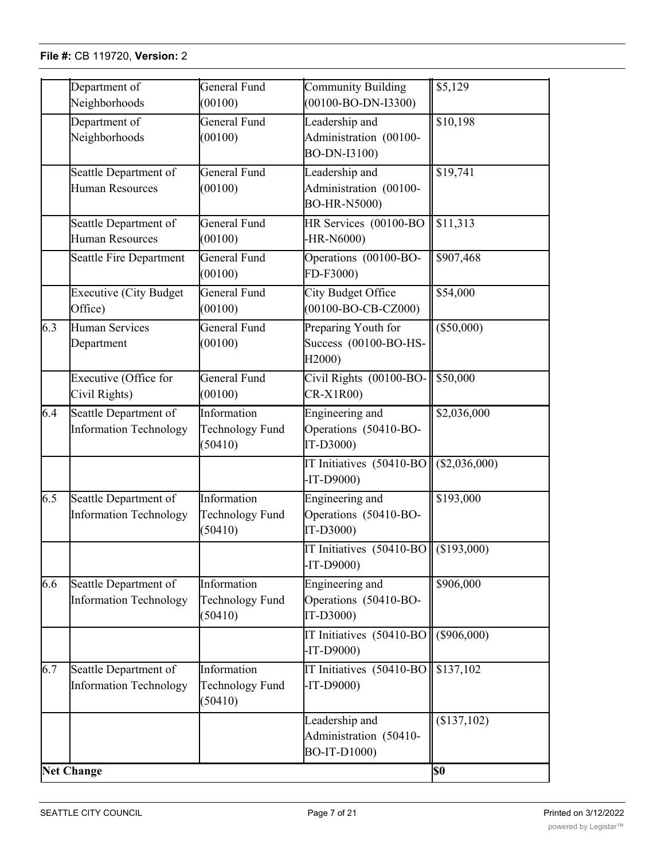Economic Development)

(00100)

|                  | Department of                                          | General Fund                              | <b>Community Building</b>                                       | $\sqrt{$5,129}$ |
|------------------|--------------------------------------------------------|-------------------------------------------|-----------------------------------------------------------------|-----------------|
|                  | Neighborhoods                                          | (00100)                                   | $(00100 - BO-DN-I3300)$                                         |                 |
|                  | Department of<br>Neighborhoods                         | General Fund<br>(00100)                   | Leadership and<br>Administration (00100-<br>BO-DN-I3100)        | \$10,198        |
|                  | Seattle Department of<br>Human Resources               | General Fund<br>(00100)                   | Leadership and<br>Administration (00100-<br><b>BO-HR-N5000)</b> | \$19,741        |
|                  | Seattle Department of<br>Human Resources               | General Fund<br>(00100)                   | HR Services (00100-BO<br>-HR-N6000)                             | \$11,313        |
|                  | Seattle Fire Department                                | General Fund<br>(00100)                   | Operations (00100-BO-<br>FD-F3000)                              | \$907,468       |
|                  | <b>Executive (City Budget</b><br>Office)               | General Fund<br>(00100)                   | City Budget Office<br>$(00100 - BO - CB - CZ000)$               | \$54,000        |
| 6.3              | <b>Human Services</b><br>Department                    | General Fund<br>(00100)                   | Preparing Youth for<br>Success (00100-BO-HS-<br>H2000)          | $(\$50,000)$    |
|                  | Executive (Office for<br>Civil Rights)                 | General Fund<br>(00100)                   | Civil Rights (00100-BO-<br>$CR-X1R00$                           | \$50,000        |
| 6.4              | Seattle Department of<br><b>Information Technology</b> | Information<br>Technology Fund<br>(50410) | Engineering and<br>Operations (50410-BO-<br>IT-D3000)           | \$2,036,000     |
|                  |                                                        |                                           | IT Initiatives (50410-BO<br>$-IT-D9000$                         | (\$2,036,000)   |
| $\overline{6.5}$ | Seattle Department of<br><b>Information Technology</b> | Information<br>Technology Fund<br>(50410) | Engineering and<br>Operations (50410-BO-<br>IT-D3000)           | \$193,000       |
|                  |                                                        |                                           | IT Initiatives (50410-BO<br>-IT-D9000)                          | (\$193,000)     |
| 6.6              | Seattle Department of<br><b>Information Technology</b> | Information<br>Technology Fund<br>(50410) | Engineering and<br>Operations (50410-BO-<br>IT-D3000)           | \$906,000       |
|                  |                                                        |                                           | IT Initiatives (50410-BO<br>$-IT-D9000$                         | $(\$906,000)$   |
| 6.7              | Seattle Department of<br><b>Information Technology</b> | Information<br>Technology Fund<br>(50410) | IT Initiatives (50410-BO<br>$-IT-D9000$                         | \$137,102       |
|                  |                                                        |                                           | Leadership and<br>Administration (50410-<br>BO-IT-D1000)        | (\$137,102)     |
|                  | <b>Net Change</b>                                      |                                           |                                                                 | <b>\$0</b>      |

(00100-BO-ED-X1D00)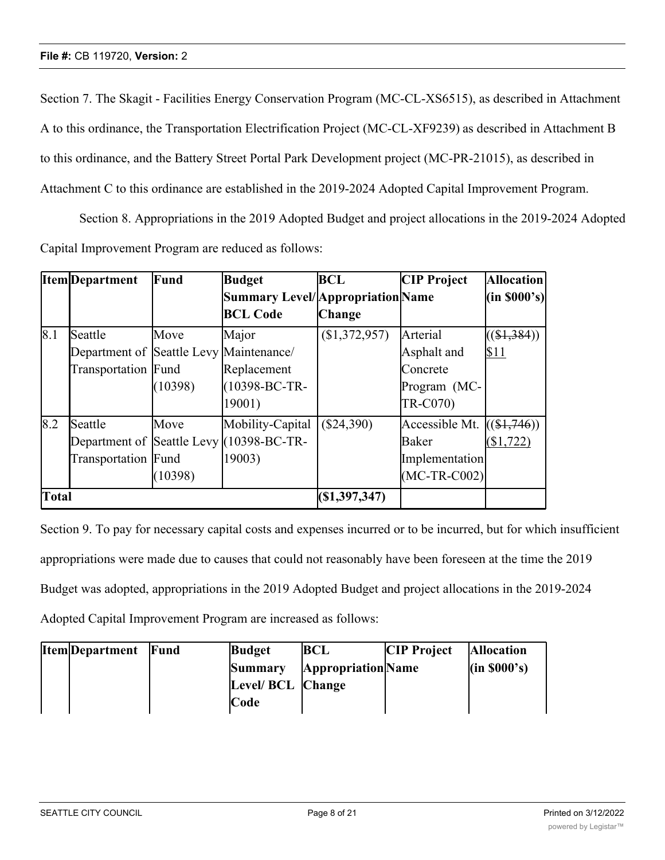Section 7. The Skagit - Facilities Energy Conservation Program (MC-CL-XS6515), as described in Attachment A to this ordinance, the Transportation Electrification Project (MC-CL-XF9239) as described in Attachment B to this ordinance, and the Battery Street Portal Park Development project (MC-PR-21015), as described in Attachment C to this ordinance are established in the 2019-2024 Adopted Capital Improvement Program.

Section 8. Appropriations in the 2019 Adopted Budget and project allocations in the 2019-2024 Adopted Capital Improvement Program are reduced as follows:

|       | <b>Item</b> Department                  | Fund    | <b>Budget</b>                            | <b>BCL</b>     | <b>CIP Project</b> | <b>Allocation</b> |
|-------|-----------------------------------------|---------|------------------------------------------|----------------|--------------------|-------------------|
|       |                                         |         | <b>Summary Level/Appropriation Name</b>  |                |                    | (in 8000's)       |
|       |                                         |         | <b>BCL Code</b>                          | <b>Change</b>  |                    |                   |
| 8.1   | Seattle                                 | Move    | Major                                    | (\$1,372,957)  | Arterial           | ( \$1,384)        |
|       | Department of Seattle Levy Maintenance/ |         |                                          |                | Asphalt and        | \$11              |
|       | Transportation Fund                     |         | Replacement                              |                | Concrete           |                   |
|       |                                         | (10398) | (10398-BC-TR-                            |                | Program (MC-       |                   |
|       |                                         |         | 19001)                                   |                | TR-C070)           |                   |
| 8.2   | Seattle                                 | Move    | Mobility-Capital                         | $(\$24,390)$   | Accessible Mt.     | $((\$1,746))$     |
|       |                                         |         | Department of Seattle Levy (10398-BC-TR- |                | Baker              | \$1,722           |
|       | Transportation Fund                     |         | 19003)                                   |                | Implementation     |                   |
|       |                                         | (10398) |                                          |                | $(MC-TR-C002)$     |                   |
| Total |                                         |         |                                          | (S1, 397, 347) |                    |                   |

Section 9. To pay for necessary capital costs and expenses incurred or to be incurred, but for which insufficient appropriations were made due to causes that could not reasonably have been foreseen at the time the 2019 Budget was adopted, appropriations in the 2019 Adopted Budget and project allocations in the 2019-2024 Adopted Capital Improvement Program are increased as follows:

| <b>Item</b> Department Fund | <b>Budget</b>     | <b>BCL</b>                | <b>CIP Project</b> | <b>Allocation</b>     |
|-----------------------------|-------------------|---------------------------|--------------------|-----------------------|
|                             | Summary           | <b>Appropriation</b> Name |                    | $(\text{in } $000's)$ |
|                             | Level/ BCL Change |                           |                    |                       |
|                             | Code              |                           |                    |                       |

FASPDS)

FA-FASPDS)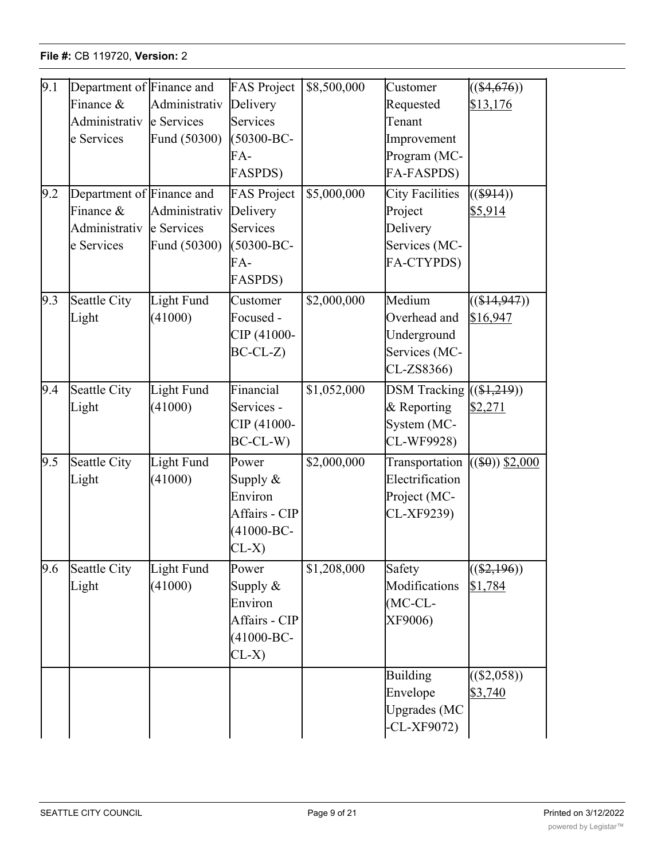| 9.1 | Department of Finance and<br>Finance $\&$                             | Administrativ                               | <b>FAS Project</b><br>Delivery                                                         | \$8,500,000 | Customer<br>Requested                                                        | $((\$4,676))$<br>\$13,176  |
|-----|-----------------------------------------------------------------------|---------------------------------------------|----------------------------------------------------------------------------------------|-------------|------------------------------------------------------------------------------|----------------------------|
|     | Administrativ<br>e Services                                           | le Services<br>Fund (50300)                 | Services<br>(50300-BC-<br>FA-<br><b>FASPDS)</b>                                        |             | Tenant<br>Improvement<br>Program (MC-<br>FA-FASPDS)                          |                            |
| 9.2 | Department of Finance and<br>Finance &<br>Administrativ<br>e Services | Administrativ<br>e Services<br>Fund (50300) | <b>FAS Project</b><br>Delivery<br>Services<br>$(50300 - BC -$<br>FA-<br><b>FASPDS)</b> | \$5,000,000 | <b>City Facilities</b><br>Project<br>Delivery<br>Services (MC-<br>FA-CTYPDS) | $($ \$914))<br>\$5,914     |
| 9.3 | Seattle City<br>Light                                                 | Light Fund<br>(41000)                       | Customer<br>Focused -<br>CIP (41000-<br>$BC-CL-Z$                                      | \$2,000,000 | Medium<br>Overhead and<br>Underground<br>Services (MC-<br>CL-ZS8366)         | $((\$14,947))$<br>\$16,947 |
| 9.4 | Seattle City<br>Light                                                 | Light Fund<br>(41000)                       | Financial<br>Services -<br>CIP (41000-<br>$BC-CL-W$                                    | \$1,052,000 | <b>DSM</b> Tracking<br>& Reporting<br>System (MC-<br>CL-WF9928)              | $((\$1,219))$<br>\$2,271   |
| 9.5 | Seattle City<br>Light                                                 | Light Fund<br>(41000)                       | Power<br>Supply $\&$<br>Environ<br>Affairs - CIP<br>$(41000 - BC -$<br>$CL-X$          | \$2,000,000 | Transportation<br>Electrification<br>Project (MC-<br>CL-XF9239)              | $($ \$0)) $$2,000$         |
| 9.6 | Seattle City<br>Light                                                 | Light Fund<br>(41000)                       | Power<br>Supply $&$<br>Environ<br>Affairs - CIP<br>$(41000 - BC -$<br>$CL-X$           | \$1,208,000 | Safety<br>Modifications<br>$(MC-CL-$<br>XF9006)                              | $((\$2,196))$<br>\$1,784   |
|     |                                                                       |                                             |                                                                                        |             | <b>Building</b><br>Envelope<br><b>Upgrades</b> (MC<br>$-CL-XF9072)$          | $((\$2,058))$<br>\$3,740   |

**Level** 

**Change** 

Purchase (MC-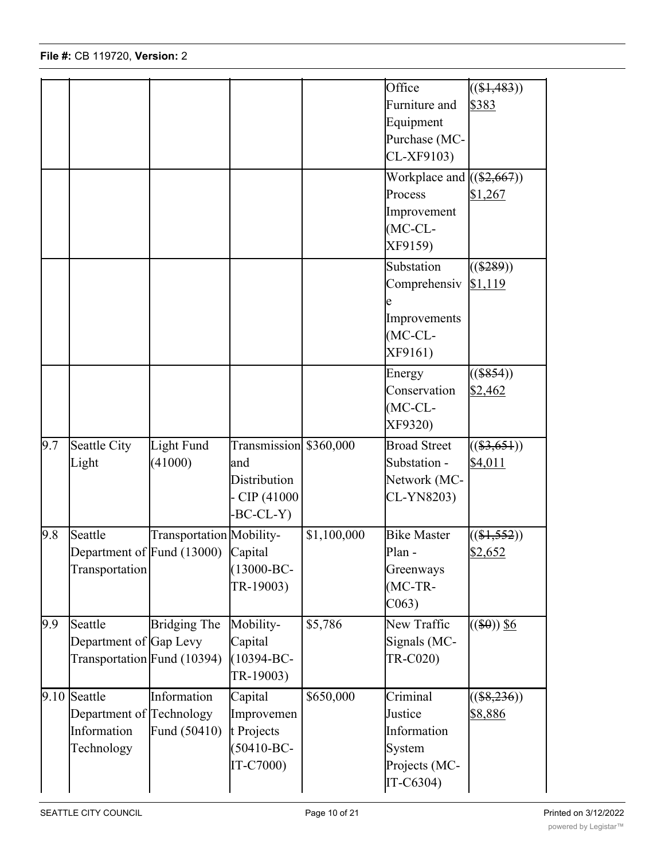|     | Technology                                                                         |                             | $(50410 - BC -$                                                             |                      | System                                                                       |                                |
|-----|------------------------------------------------------------------------------------|-----------------------------|-----------------------------------------------------------------------------|----------------------|------------------------------------------------------------------------------|--------------------------------|
|     | Department of Technology<br>Information                                            | Fund (50410)                | Improvemen<br>t Projects                                                    |                      | Justice<br>Information                                                       | \$8,886                        |
| 9.9 | Seattle<br>Department of Gap Levy<br>Transportation Fund (10394)<br>$9.10$ Seattle | Bridging The<br>Information | Mobility-<br>Capital<br>$(10394 - BC -$<br>TR-19003)<br>Capital             | \$5,786<br>\$650,000 | New Traffic<br>Signals (MC-<br>TR-C020)<br>Criminal                          | $((\$0))$ \$6<br>$((\$8,236))$ |
| 9.8 | Seattle<br>Department of Fund (13000) Capital<br>Transportation                    | Transportation Mobility-    | $(13000 - BC -$<br>TR-19003)                                                | \$1,100,000          | <b>Bike Master</b><br>Plan -<br>Greenways<br>$(MC-TR-$<br>C <sub>063</sub>   | $((\$1,552))$<br>\$2,652       |
| 9.7 | Seattle City<br>Light                                                              | Light Fund<br>(41000)       | Transmission \$360,000<br>and<br>Distribution<br>$-CIP(41000$<br>$-BC-CL-Y$ |                      | <b>Broad Street</b><br>Substation -<br>Network (MC-<br>CL-YN8203)            | $((\$3,651))$<br>\$4,011       |
|     |                                                                                    |                             |                                                                             |                      | Energy<br>Conservation<br>$(MC-CL-$<br>XF9320)                               | $((\$854))$<br>\$2,462         |
|     |                                                                                    |                             |                                                                             |                      | Substation<br>Comprehensiv<br>Improvements<br>$(MC-CL-$<br>XF9161)           | $((\$289))$<br>\$1,119         |
|     |                                                                                    |                             |                                                                             |                      | Workplace and $((\$2,667))$<br>Process<br>Improvement<br>$MC-CL-$<br>XF9159) | \$1,267                        |
|     |                                                                                    |                             |                                                                             |                      | Office<br>Furniture and<br>Equipment<br>Purchase (MC-<br>CL-XF9103)          | $((\$1,483))$<br>\$383         |
|     |                                                                                    |                             |                                                                             |                      |                                                                              |                                |

Upgrades (MC  $-$ CL-X $-$ Cl-X $-$ Cl-X $-$ Cl-X $-$ Cl-X $-$ Cl-X $-$ Cl-X $-$ Cl-X $-$ Cl-X $-$ Cl-X $-$ Cl-X $-$ Cl-X $-$ Cl-X $-$ Cl-X $-$ Cl-X $-$ Cl-X $-$ Cl-X $-$ Cl-X $-$ Cl-X $-$ Cl-X $-$ Cl-X $-$ Cl-X $-$ Cl-X $-$ Cl-X $-$ Cl-X $-$ Cl-X $-$ Cl-X $-$ Cl-X $-$ Cl-X $-$ Cl-X $-$ Cl-X $-$ C

Park and

Building For

(<del>)</del>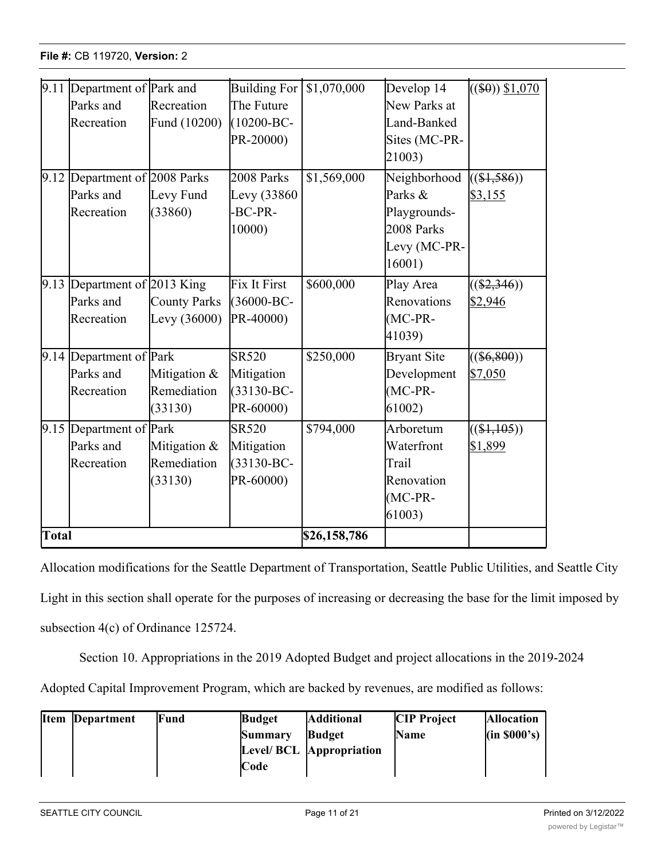|       | 9.11 Department of Park and   |                     | <b>Building For</b> | \$1,070,000  | Develop 14         | $((\$0))$ \$1,070 |
|-------|-------------------------------|---------------------|---------------------|--------------|--------------------|-------------------|
|       | Parks and                     | Recreation          | The Future          |              | New Parks at       |                   |
|       | Recreation                    | Fund (10200)        | $(10200 - BC -$     |              | Land-Banked        |                   |
|       |                               |                     | PR-20000)           |              | Sites (MC-PR-      |                   |
|       |                               |                     |                     |              | 21003)             |                   |
|       | 9.12 Department of 2008 Parks |                     | 2008 Parks          | \$1,569,000  | Neighborhood       | $((\$1,586))$     |
|       | Parks and                     | Levy Fund           | Levy (33860)        |              | Parks &            | \$3,155           |
|       | Recreation                    | (33860)             | -BC-PR-             |              | Playgrounds-       |                   |
|       |                               |                     | 10000)              |              | 2008 Parks         |                   |
|       |                               |                     |                     |              | Levy (MC-PR-       |                   |
|       |                               |                     |                     |              | 16001)             |                   |
|       | 9.13 Department of 2013 King  |                     | Fix It First        | \$600,000    | Play Area          | $((\$2,346))$     |
|       | Parks and                     | <b>County Parks</b> | (36000-BC-          |              | Renovations        | \$2,946           |
|       | Recreation                    | Levy $(36000)$      | PR-40000)           |              | $(MC-PR-$          |                   |
|       |                               |                     |                     |              | 41039)             |                   |
|       | $9.14$ Department of Park     |                     | <b>SR520</b>        | \$250,000    | <b>Bryant Site</b> | $((\$6,800))$     |
|       | Parks and                     | Mitigation &        | Mitigation          |              | Development        | \$7,050           |
|       | Recreation                    | Remediation         | $(33130 - BC -$     |              | $(MC-PR-$          |                   |
|       |                               | (33130)             | PR-60000)           |              | 61002)             |                   |
|       | 9.15 Department of Park       |                     | <b>SR520</b>        | \$794,000    | Arboretum          | $((\$1,105))$     |
|       | Parks and                     | Mitigation &        | Mitigation          |              | Waterfront         | \$1,899           |
|       | Recreation                    | Remediation         | $(33130 - BC -$     |              | Trail              |                   |
|       |                               | (33130)             | PR-60000)           |              | Renovation         |                   |
|       |                               |                     |                     |              | $(MC-PR-$          |                   |
|       |                               |                     |                     |              | 61003)             |                   |
| Total |                               |                     |                     | \$26,158,786 |                    |                   |

IT-C6304)

Allocation modifications for the Seattle Department of Transportation, Seattle Public Utilities, and Seattle City Light in this section shall operate for the purposes of increasing or decreasing the base for the limit imposed by subsection 4(c) of Ordinance 125724.

Section 10. Appropriations in the 2019 Adopted Budget and project allocations in the 2019-2024

Adopted Capital Improvement Program, which are backed by revenues, are modified as follows:

| <b>Item</b> | <b>Department</b> | Fund | <b>Budget</b>  | <b>Additional</b>         | <b>CIP</b> Project | <b>Allocation</b> |
|-------------|-------------------|------|----------------|---------------------------|--------------------|-------------------|
|             |                   |      | <b>Summary</b> | <b>Budget</b>             | <b>Name</b>        | (in 8000's)       |
|             |                   |      |                | Level/ BCL  Appropriation |                    |                   |
|             |                   |      | Code           |                           |                    |                   |

<u>Capital Capital Capital Capital Capital Capital Capital Capital Capital Capital Capital Capital Capital Capital Capital Capital Capital Capital Capital Capital Capital Capital Capital Capital Capital Capital Capital Capit</u>

 $\frac{1}{\sqrt{130}}$ 

Trail Extension (1988)

\$3,718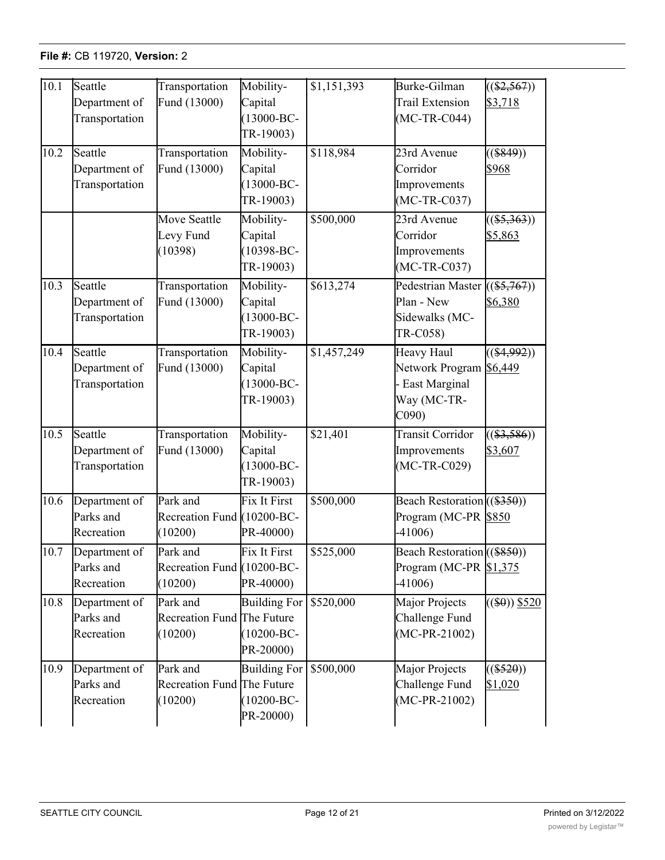| 10.1 | Seattle<br>Department of<br>Transportation | Transportation<br>Fund (13000)                    | Mobility-<br>Capital<br>$(13000 - BC -$<br>TR-19003) | \$1,151,393 | Burke-Gilman<br>Trail Extension<br>$(MC-TR-C044)$                                           | $((\$2,567))$<br>\$3,718 |
|------|--------------------------------------------|---------------------------------------------------|------------------------------------------------------|-------------|---------------------------------------------------------------------------------------------|--------------------------|
| 10.2 | Seattle<br>Department of<br>Transportation | Transportation<br>Fund (13000)                    | Mobility-<br>Capital<br>$(13000 - BC -$<br>TR-19003) | \$118,984   | 23rd Avenue<br>Corridor<br>Improvements<br>$(MC-TR-C037)$                                   | $($ (\$849))<br>\$968    |
|      |                                            | Move Seattle<br>Levy Fund<br>(10398)              | Mobility-<br>Capital<br>$(10398 - BC -$<br>TR-19003) | \$500,000   | 23rd Avenue<br>Corridor<br>Improvements<br>$(MC-TR-C037)$                                   | $((\$5,363))$<br>\$5,863 |
| 10.3 | Seattle<br>Department of<br>Transportation | Transportation<br>Fund (13000)                    | Mobility-<br>Capital<br>$(13000 - BC -$<br>TR-19003) | \$613,274   | Pedestrian Master<br>Plan - New<br>Sidewalks (MC-<br>TR-C058)                               | $((\$5,767))$<br>\$6,380 |
| 10.4 | Seattle<br>Department of<br>Transportation | Transportation<br>Fund (13000)                    | Mobility-<br>Capital<br>$(13000 - BC -$<br>TR-19003) | \$1,457,249 | Heavy Haul<br>Network Program \$6,449<br>- East Marginal<br>Way (MC-TR-<br>C <sub>090</sub> | $((\$4,992))$            |
| 10.5 | Seattle<br>Department of<br>Transportation | Transportation<br>Fund (13000)                    | Mobility-<br>Capital<br>$(13000 - BC -$<br>TR-19003) | \$21,401    | <b>Transit Corridor</b><br>Improvements<br>$(MC-TR-C029)$                                   | $((\$3,586))$<br>\$3,607 |
| 10.6 | Department of<br>Parks and<br>Recreation   | Park and<br>Recreation Fund (10200-BC-<br>(10200) | Fix It First<br>PR-40000)                            | \$500,000   | Beach Restoration ((\$350))<br>Program (MC-PR \$850<br>$-41006$                             |                          |
| 10.7 | Department of<br>Parks and<br>Recreation   | Park and<br>Recreation Fund (10200-BC-<br>(10200) | Fix It First<br>PR-40000)                            | \$525,000   | Beach Restoration ((\$850))<br>Program (MC-PR $$1,375$<br>$-41006$                          |                          |
| 10.8 | Department of<br>Parks and<br>Recreation   | Park and<br>Recreation Fund The Future<br>(10200) | <b>Building For</b><br>$(10200 - BC -$<br>PR-20000)  | \$520,000   | Major Projects<br>Challenge Fund<br>$(MC-PR-21002)$                                         | $((\$0))$ \$520          |
| 10.9 | Department of<br>Parks and<br>Recreation   | Park and<br>Recreation Fund The Future<br>(10200) | <b>Building For</b><br>$(10200 - BC -$<br>PR-20000)  | \$500,000   | Major Projects<br>Challenge Fund<br>$(MC-PR-21002)$                                         | $((\$520))$<br>\$1,020   |

Management (MC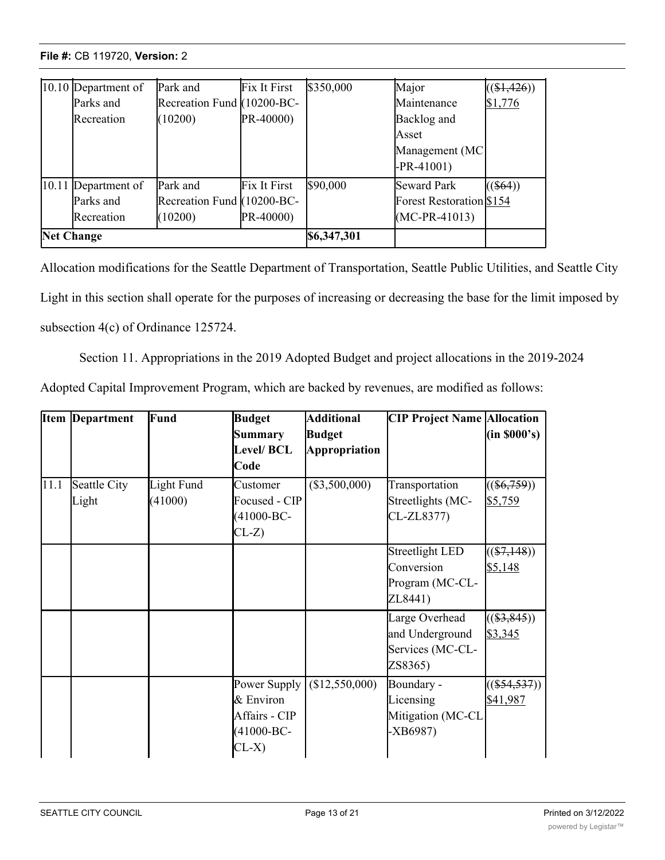| $[10.10]$ Department of | Park and                   | Fix It First | \$350,000   | Major                           | ( \$1,426) |
|-------------------------|----------------------------|--------------|-------------|---------------------------------|------------|
| Parks and               | Recreation Fund (10200-BC- |              |             | Maintenance                     | \$1,776    |
| Recreation              | (10200)                    | PR-40000)    |             | Backlog and                     |            |
|                         |                            |              |             | Asset                           |            |
|                         |                            |              |             | Management (MC                  |            |
|                         |                            |              |             | $-PR-41001)$                    |            |
| 10.11 Department of     | Park and                   | Fix It First | \$90,000    | <b>Seward Park</b>              | $($ \$64)) |
| Parks and               | Recreation Fund (10200-BC- |              |             | <b>Forest Restoration \$154</b> |            |
| Recreation              | (10200)                    | PR-40000)    |             | $(MC-PR-41013)$                 |            |
| <b>Net Change</b>       |                            |              | \$6,347,301 |                                 |            |

<u>Production (2000)</u>

Allocation modifications for the Seattle Department of Transportation, Seattle Public Utilities, and Seattle City Light in this section shall operate for the purposes of increasing or decreasing the base for the limit imposed by subsection 4(c) of Ordinance 125724.

Section 11. Appropriations in the 2019 Adopted Budget and project allocations in the 2019-2024

|  |  |  | Adopted Capital Improvement Program, which are backed by revenues, are modified as follows: |  |
|--|--|--|---------------------------------------------------------------------------------------------|--|
|  |  |  |                                                                                             |  |

|      | <b>Item Department</b> | Fund                  | <b>Budget</b><br><b>Summary</b><br><b>Level/BCL</b><br>Code              | <b>Additional</b><br><b>Budget</b><br><b>Appropriation</b> | <b>CIP Project Name Allocation</b>                                 | (in 8000's)                |
|------|------------------------|-----------------------|--------------------------------------------------------------------------|------------------------------------------------------------|--------------------------------------------------------------------|----------------------------|
| 11.1 | Seattle City<br>Light  | Light Fund<br>(41000) | Customer<br>Focused - CIP<br>$(41000 - BC -$<br>$CL-Z$                   | $(\$3,500,000)$                                            | Transportation<br>Streetlights (MC-<br>CL-ZL8377)                  | $((\$6,759))$<br>\$5,759   |
|      |                        |                       |                                                                          |                                                            | <b>Streetlight LED</b><br>Conversion<br>Program (MC-CL-<br>ZL8441) | $((\$7,148))$<br>\$5,148   |
|      |                        |                       |                                                                          |                                                            | Large Overhead<br>and Underground<br>Services (MC-CL-<br>ZS8365)   | $((\$3,845))$<br>\$3,345   |
|      |                        |                       | Power Supply<br>& Environ<br>Affairs - CIP<br>$(41000 - BC -$<br>$CL-X)$ | (\$12,550,000)                                             | Boundary -<br>Licensing<br>Mitigation (MC-CL<br>$-XB6987)$         | $((\$54,537))$<br>\$41,987 |

Distribution -

Networks (MC-CL-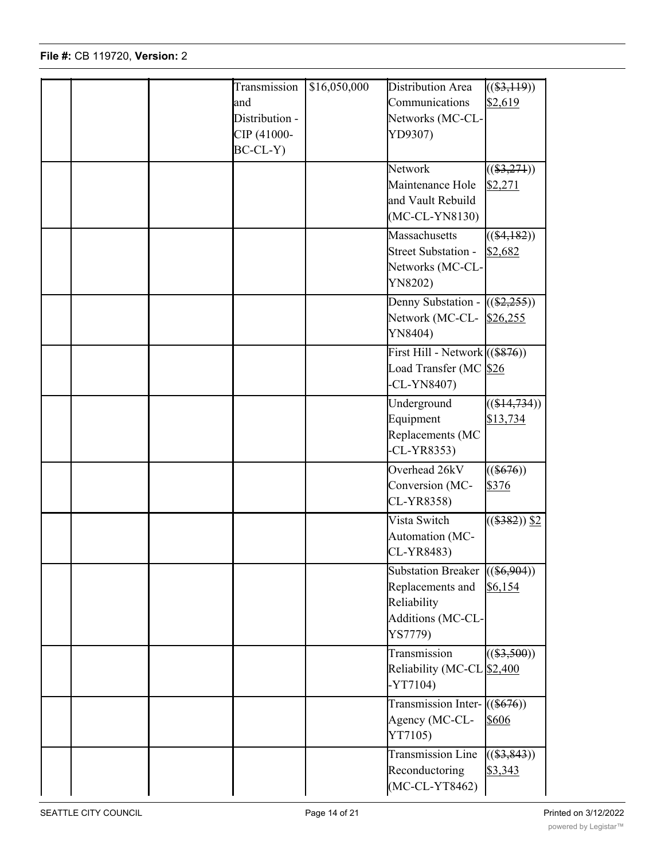|  | Transmission<br>and<br>Distribution -<br>CIP (41000-<br>$BC-CL-Y$ | \$16,050,000 | Distribution Area<br>Communications<br>Networks (MC-CL-<br>YD9307)                                  | $\overline{((\$3,119))}$<br>\$2,619 |
|--|-------------------------------------------------------------------|--------------|-----------------------------------------------------------------------------------------------------|-------------------------------------|
|  |                                                                   |              | Network<br>Maintenance Hole<br>and Vault Rebuild<br>$(MC-CL-YN8130)$                                | $((\$3,271))$<br>\$2,271            |
|  |                                                                   |              | Massachusetts<br>Street Substation -<br>Networks (MC-CL-<br>YN8202)                                 | $((\$4,182))$<br>\$2,682            |
|  |                                                                   |              | Denny Substation - $((\$2,255))$<br>Network (MC-CL-<br>YN8404)                                      | \$26,255                            |
|  |                                                                   |              | First Hill - Network $((\$876))$<br>Load Transfer (MC \$26<br>$-CL-YN8407$                          |                                     |
|  |                                                                   |              | Underground<br>Equipment<br>Replacements (MC<br>$-CL-YR8353)$                                       | $((\$14,734))$<br>\$13,734          |
|  |                                                                   |              | Overhead 26kV<br>Conversion (MC-<br>CL-YR8358)                                                      | $((\$676))$<br>\$376                |
|  |                                                                   |              | Vista Switch<br>Automation (MC-<br>CL-YR8483)                                                       | $((\$382))$ \$2                     |
|  |                                                                   |              | Substation Breaker $((\$6,904))$<br>Replacements and<br>Reliability<br>Additions (MC-CL-<br>YS7779) | \$6,154                             |
|  |                                                                   |              | Transmission<br>Reliability (MC-CL \$2,400<br>$-YT7104)$                                            | $\overline{((\$3,500))}$            |
|  |                                                                   |              | Transmission Inter- $((\$676))$<br>Agency (MC-CL-<br>YT7105)                                        | \$606                               |
|  |                                                                   |              | Transmission Line<br>Reconductoring<br>(MC-CL-YT8462)                                               | $((\$3,843))$<br>\$3,343            |

<u>Light Fund</u>

Customer<br>Customer

(<del>)</del><br>((<del>)</del>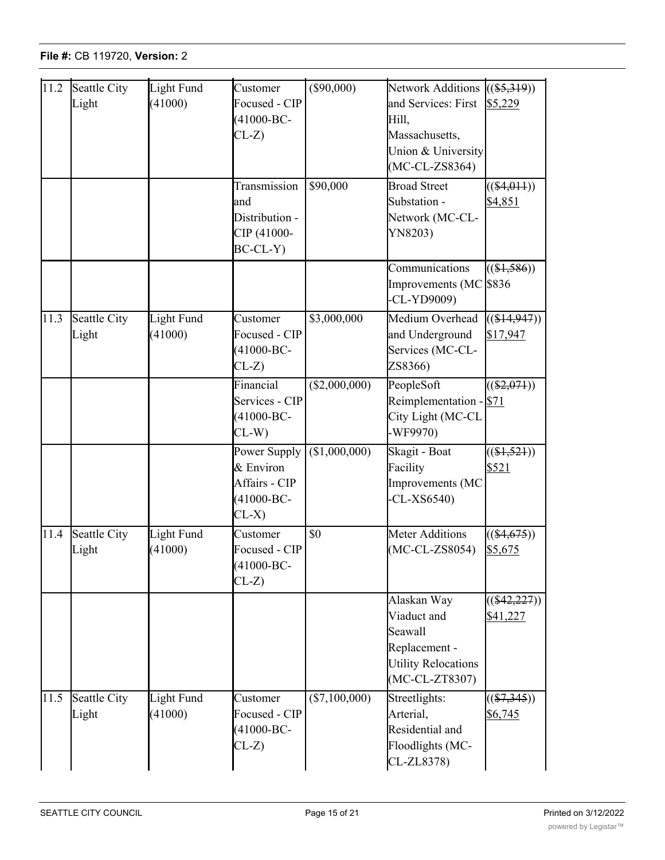| 11.2 | Seattle City<br>Light | Light Fund<br>(41000) | Customer<br>Focused - CIP<br>$(41000 - BC -$<br>$CL-Z$                  | $($ \$90,000)   | <b>Network Additions</b><br>and Services: First<br>Hill,<br>Massachusetts,<br>Union & University<br>$(MC-CL-ZS8364)$<br><b>Broad Street</b> | $((\$5,319))$<br>\$5,229   |
|------|-----------------------|-----------------------|-------------------------------------------------------------------------|-----------------|---------------------------------------------------------------------------------------------------------------------------------------------|----------------------------|
|      |                       |                       | Transmission<br>and<br>Distribution -<br>CIP (41000-<br>BC-CL-Y)        | \$90,000        | Substation -<br>Network (MC-CL-<br>YN8203)                                                                                                  | $((\$4,011))$<br>\$4,851   |
|      |                       |                       |                                                                         |                 | Communications<br>Improvements (MC \$836<br>$-CL-YP9009$                                                                                    | $((\$1,586))$              |
| 11.3 | Seattle City<br>Light | Light Fund<br>(41000) | Customer<br>Focused - CIP<br>$(41000 - BC -$<br>$CL-Z$                  | \$3,000,000     | Medium Overhead<br>and Underground<br>Services (MC-CL-<br>ZS8366)                                                                           | $((\$14,947))$<br>\$17,947 |
|      |                       |                       | Financial<br>Services - CIP<br>$(41000 - BC -$<br>$CL-W$                | (\$2,000,000)   | PeopleSoft<br>Reimplementation - \$71<br>City Light (MC-CL<br>-WF9970)                                                                      | $((\$2,071))$              |
|      |                       |                       | Power Supply<br>& Environ<br>Affairs - CIP<br>$(41000 - BC -$<br>$CL-X$ | (\$1,000,000)   | Skagit - Boat<br>Facility<br>Improvements (MC<br>$-CL-XS6540$                                                                               | $((\$1,521))$<br>\$521     |
| 11.4 | Seattle City<br>Light | Light Fund<br>(41000) | Customer<br>Focused - CIP<br>$(41000 - BC -$<br>$CL-Z$                  | \$0             | <b>Meter Additions</b><br>(MC-CL-ZS8054) \$5,675                                                                                            | $((\$4,675))$              |
|      |                       |                       |                                                                         |                 | Alaskan Way<br>Viaduct and<br>Seawall<br>Replacement -<br><b>Utility Relocations</b><br>(MC-CL-ZT8307)                                      | $((\$42,227))$<br>\$41,227 |
| 11.5 | Seattle City<br>Light | Light Fund<br>(41000) | Customer<br>Focused - CIP<br>$(41000 - BC -$<br>$CL-Z$                  | $(\$7,100,000)$ | Streetlights:<br>Arterial,<br>Residential and<br>Floodlights (MC-<br>CL-ZL8378)                                                             | $((\$7,345))$<br>\$6,745   |

Infrastructure

\$2,574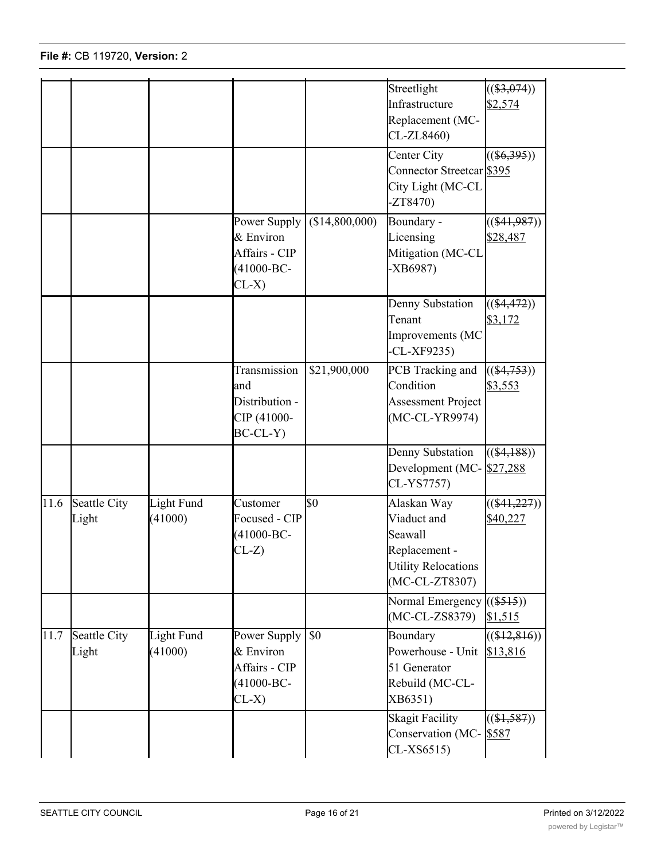|      |                       |                              |                                                                         |                | Streetlight<br>Infrastructure<br>Replacement (MC-<br>CL-ZL8460)                                        | $((\$3,074))$<br>\$2,574   |
|------|-----------------------|------------------------------|-------------------------------------------------------------------------|----------------|--------------------------------------------------------------------------------------------------------|----------------------------|
|      |                       |                              |                                                                         |                | Center City<br>Connector Streetcar \$395<br>City Light (MC-CL<br>$-ZT8470$                             | $\overline{((\$6,395))}$   |
|      |                       |                              | Power Supply<br>& Environ<br>Affairs - CIP<br>$(41000 - BC -$<br>$CL-X$ | (\$14,800,000) | Boundary -<br>Licensing<br>Mitigation (MC-CL<br>$-XB6987)$                                             | $((\$41,987))$<br>\$28,487 |
|      |                       |                              |                                                                         |                | Denny Substation<br>Tenant<br>Improvements (MC<br>$-CL-XF9235$                                         | $((\$4,472))$<br>\$3,172   |
|      |                       |                              | Transmission<br>and<br>Distribution -<br>CIP (41000-<br>$BC-CL-Y$       | \$21,900,000   | PCB Tracking and<br>Condition<br><b>Assessment Project</b><br>(MC-CL-YR9974)                           | $((\$4,753))$<br>\$3,553   |
|      |                       |                              |                                                                         |                | Denny Substation<br>Development (MC-<br>CL-YS7757)                                                     | $((\$4,188))$<br>\$27,288  |
| 11.6 | Seattle City<br>Light | Light Fund<br>(41000)        | Customer<br>Focused - CIP<br>$(41000 - BC -$<br>$CL-Z$ )                | \$0            | Alaskan Way<br>Viaduct and<br>Seawall<br>Replacement -<br><b>Utility Relocations</b><br>(MC-CL-ZT8307) | $((\$41,227))$<br>\$40,227 |
|      |                       |                              |                                                                         |                | Normal Emergency<br>$(MC-CL-ZS8379)$                                                                   | $((\$515))$<br>\$1,515     |
| 11.7 | Seattle City<br>Light | <b>Light Fund</b><br>(41000) | Power Supply<br>& Environ<br>Affairs - CIP<br>$(41000 - BC -$<br>$CL-X$ | \$0            | Boundary<br>Powerhouse - Unit<br>51 Generator<br>Rebuild (MC-CL-<br>XB6351)                            | $((\$12,816))$<br>\$13,816 |
|      |                       |                              |                                                                         |                | <b>Skagit Facility</b><br>Conservation (MC-<br>$CL-XS6515)$                                            | $((\$1,587))$<br>\$587     |

 $\frac{1}{1000}$ 

Residential and

Generator Step-up

 $\frac{1}{\sqrt{2}}$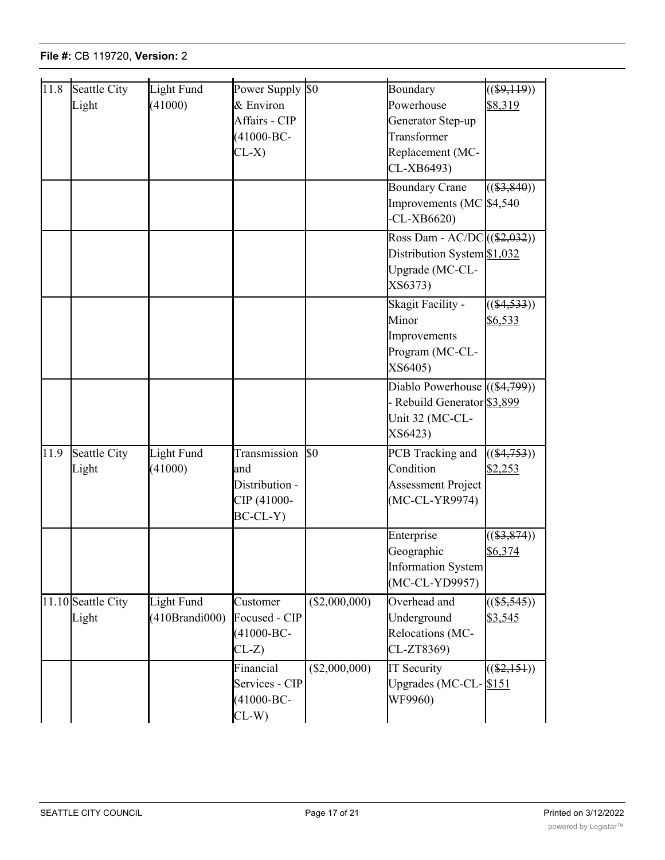| $\overline{11.8}$ | Seattle City       | Light Fund     | Power Supply \$0 |                | Boundary                        | $\sqrt{(\$9,119)})$ |
|-------------------|--------------------|----------------|------------------|----------------|---------------------------------|---------------------|
|                   | Light              | (41000)        | & Environ        |                | Powerhouse                      | \$8,319             |
|                   |                    |                | Affairs - CIP    |                | Generator Step-up               |                     |
|                   |                    |                | $(41000 - BC -$  |                | Transformer                     |                     |
|                   |                    |                | $CL-X$           |                | Replacement (MC-                |                     |
|                   |                    |                |                  |                | CL-XB6493)                      |                     |
|                   |                    |                |                  |                | <b>Boundary Crane</b>           | $((\$3,840))$       |
|                   |                    |                |                  |                | Improvements (MC \\$4,540)      |                     |
|                   |                    |                |                  |                | $-CL-XB6620$                    |                     |
|                   |                    |                |                  |                | Ross Dam - AC/DC $((\$2,032))$  |                     |
|                   |                    |                |                  |                | Distribution System \$1,032     |                     |
|                   |                    |                |                  |                | Upgrade (MC-CL-                 |                     |
|                   |                    |                |                  |                | XS6373)                         |                     |
|                   |                    |                |                  |                | Skagit Facility -               | $((\$4,533))$       |
|                   |                    |                |                  |                | Minor                           | \$6,533             |
|                   |                    |                |                  |                | Improvements                    |                     |
|                   |                    |                |                  |                | Program (MC-CL-                 |                     |
|                   |                    |                |                  |                | XS6405)                         |                     |
|                   |                    |                |                  |                | Diablo Powerhouse $((\$4,799))$ |                     |
|                   |                    |                |                  |                | - Rebuild Generator \$3,899     |                     |
|                   |                    |                |                  |                | Unit 32 (MC-CL-                 |                     |
|                   |                    |                |                  |                | XS6423)                         |                     |
| 11.9              | Seattle City       | Light Fund     | Transmission     | $\mathbb{S}^0$ | PCB Tracking and                | $((\$4,753))$       |
|                   | Light              | (41000)        | and              |                | Condition                       | \$2,253             |
|                   |                    |                | Distribution -   |                | <b>Assessment Project</b>       |                     |
|                   |                    |                | CIP (41000-      |                | (MC-CL-YR9974)                  |                     |
|                   |                    |                | $BC-CL-Y$        |                |                                 |                     |
|                   |                    |                |                  |                | Enterprise                      | $((\$3,874))$       |
|                   |                    |                |                  |                | Geographic                      | \$6,374             |
|                   |                    |                |                  |                | Information System              |                     |
|                   |                    |                |                  |                | (MC-CL-YD9957)                  |                     |
|                   | 11.10 Seattle City | Light Fund     | Customer         | (\$2,000,000)  | Overhead and                    | $((\$5,545))$       |
|                   | Light              | (410Brandi000) | Focused - CIP    |                | Underground                     | \$3,545             |
|                   |                    |                | $(41000 - BC -$  |                | Relocations (MC-                |                     |
|                   |                    |                | $CL-Z$           |                | CL-ZT8369)                      |                     |
|                   |                    |                | Financial        | (\$2,000,000)  | <b>IT Security</b>              | $((\$2,151))$       |
|                   |                    |                | Services - CIP   |                | Upgrades (MC-CL-S151            |                     |
|                   |                    |                | $(41000 - BC -$  |                | WF9960)                         |                     |
|                   |                    |                | $CL-W$           |                |                                 |                     |

Skagit Facility Facility

 $(1,5,5,5)$ 

 $\mathbb{R}^2$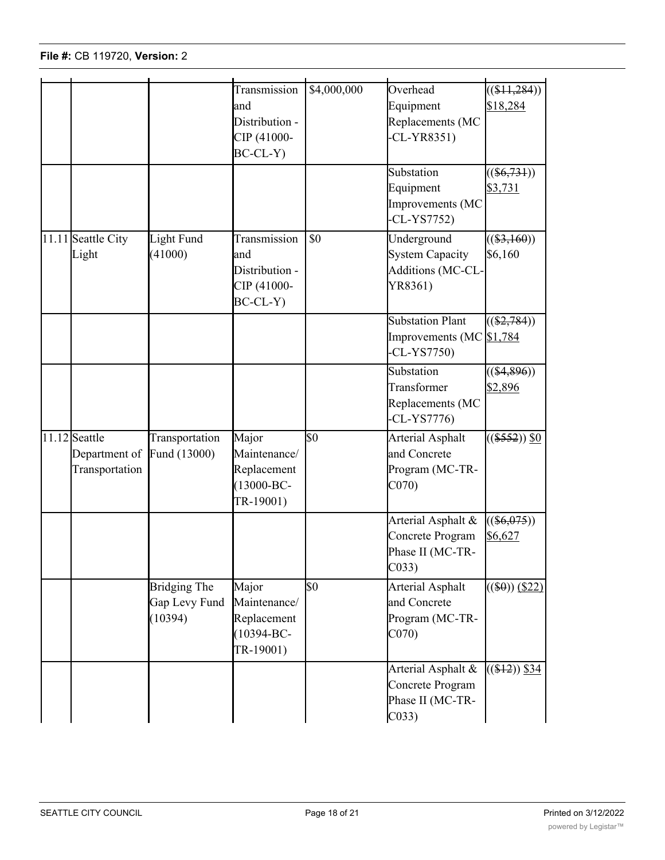|                    |                | Transmission    | \$4,000,000     | Overhead                 | $((\$11,284))$   |
|--------------------|----------------|-----------------|-----------------|--------------------------|------------------|
|                    |                | and             |                 | Equipment                | \$18,284         |
|                    |                | Distribution -  |                 | Replacements (MC         |                  |
|                    |                | CIP (41000-     |                 | $CL-YR8351)$             |                  |
|                    |                | $BC-CL-Y$       |                 |                          |                  |
|                    |                |                 |                 | Substation               | $((\$6,731))$    |
|                    |                |                 |                 | Equipment                | \$3,731          |
|                    |                |                 |                 | Improvements (MC         |                  |
|                    |                |                 |                 | $-CL-YST752)$            |                  |
| 11.11 Seattle City | Light Fund     | Transmission    | \$0             | Underground              | $((\$3,160))$    |
| Light              | (41000)        | and             |                 | <b>System Capacity</b>   | \$6,160          |
|                    |                | Distribution -  |                 | Additions (MC-CL-        |                  |
|                    |                | CIP (41000-     |                 | YR8361)                  |                  |
|                    |                | $BC-CL-Y$       |                 |                          |                  |
|                    |                |                 |                 | <b>Substation Plant</b>  | $((\$2,784))$    |
|                    |                |                 |                 | Improvements (MC \$1,784 |                  |
|                    |                |                 |                 | $-CL-YST750$             |                  |
|                    |                |                 |                 | Substation               | $((\$4,896))$    |
|                    |                |                 |                 | Transformer              | \$2,896          |
|                    |                |                 |                 | Replacements (MC         |                  |
|                    |                |                 |                 | $CL-YS7776$              |                  |
| 11.12 Seattle      | Transportation | Major           | $\overline{50}$ | Arterial Asphalt         | $((\$552))$ \$0  |
| Department of      | Fund (13000)   | Maintenance/    |                 | and Concrete             |                  |
| Transportation     |                | Replacement     |                 | Program (MC-TR-          |                  |
|                    |                | $(13000 - BC -$ |                 | CO70                     |                  |
|                    |                | TR-19001)       |                 |                          |                  |
|                    |                |                 |                 | Arterial Asphalt &       | $((\$6,075))$    |
|                    |                |                 |                 | Concrete Program         | \$6,627          |
|                    |                |                 |                 | Phase II (MC-TR-         |                  |
|                    |                |                 |                 | $CO33$ )                 |                  |
|                    | Bridging The   | Major           | $\overline{50}$ | <b>Arterial Asphalt</b>  | $((\$0))$ (\$22) |
|                    | Gap Levy Fund  | Maintenance/    |                 | and Concrete             |                  |
|                    | (10394)        | Replacement     |                 | Program (MC-TR-          |                  |
|                    |                | $(10394 - BC -$ |                 | CO70                     |                  |
|                    |                | TR-19001)       |                 |                          |                  |
|                    |                |                 |                 | Arterial Asphalt &       | $((\$12))$ \$34  |
|                    |                |                 |                 | Concrete Program         |                  |
|                    |                |                 |                 | Phase II (MC-TR-         |                  |
|                    |                |                 |                 | CO <sub>33</sub>         |                  |

Services - CIP

Upgrades (MC-CL-

\$151

TR-19001)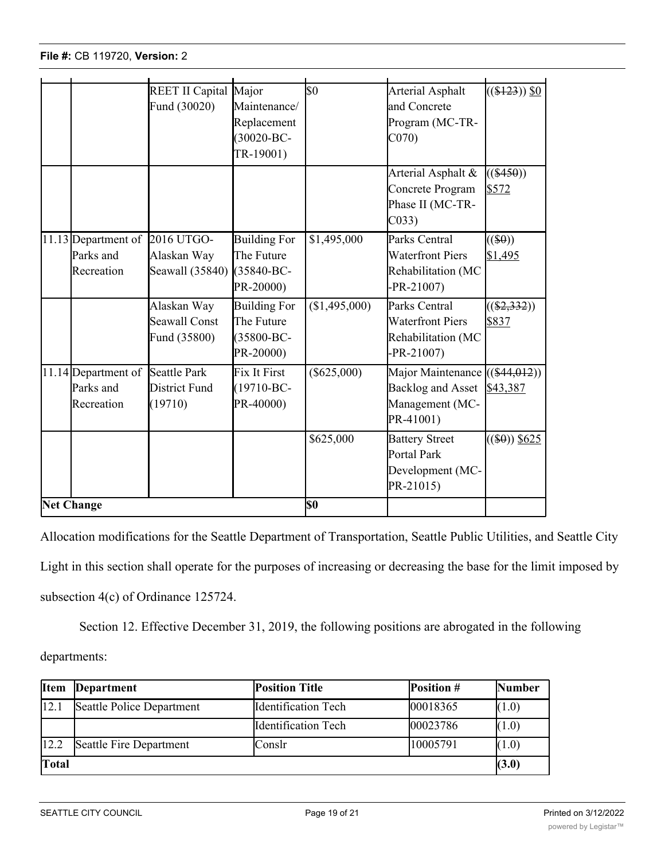|                   |                                                             | REET II Capital Major                               |                                                              | $\overline{\$0}$ | <b>Arterial Asphalt</b>                                                                    | $((\$123))$ \$0           |
|-------------------|-------------------------------------------------------------|-----------------------------------------------------|--------------------------------------------------------------|------------------|--------------------------------------------------------------------------------------------|---------------------------|
|                   |                                                             | Fund (30020)                                        | Maintenance/                                                 |                  | and Concrete                                                                               |                           |
|                   |                                                             |                                                     | Replacement                                                  |                  | Program (MC-TR-                                                                            |                           |
|                   |                                                             |                                                     | $(30020 - BC -$                                              |                  | CO70                                                                                       |                           |
|                   |                                                             |                                                     | TR-19001)                                                    |                  |                                                                                            |                           |
|                   |                                                             |                                                     |                                                              |                  | Arterial Asphalt &<br>Concrete Program<br>Phase II (MC-TR-<br>C <sub>033</sub>             | $((\$450))$<br>\$572      |
|                   | 11.13 Department of 2016 UTGO-<br>Parks and<br>Recreation   | Alaskan Way<br>Seawall (35840)                      | <b>Building For</b><br>The Future<br>(35840-BC-<br>PR-20000) | \$1,495,000      | Parks Central<br><b>Waterfront Piers</b><br>Rehabilitation (MC<br>$-PR - 21007$            | $((\$\theta))$<br>\$1,495 |
|                   |                                                             | Alaskan Way<br><b>Seawall Const</b><br>Fund (35800) | <b>Building For</b><br>The Future<br>(35800-BC-<br>PR-20000) | (\$1,495,000)    | Parks Central<br><b>Waterfront Piers</b><br>Rehabilitation (MC<br>$-PR - 21007$            | $((\$2,332))$<br>\$837    |
|                   | 11.14 Department of Seattle Park<br>Parks and<br>Recreation | District Fund<br>(19710)                            | <b>Fix It First</b><br>$(19710 - BC -$<br>PR-40000)          | $(\$625,000)$    | Major Maintenance ((\$44,012))<br><b>Backlog and Asset</b><br>Management (MC-<br>PR-41001) | \$43,387                  |
|                   |                                                             |                                                     |                                                              | \$625,000        | <b>Battery Street</b><br><b>Portal Park</b><br>Development (MC-<br>PR-21015)               | $\sqrt{(\$0))}$ \$625     |
| <b>Net Change</b> |                                                             |                                                     | \$0                                                          |                  |                                                                                            |                           |

Concrete Program

Allocation modifications for the Seattle Department of Transportation, Seattle Public Utilities, and Seattle City Light in this section shall operate for the purposes of increasing or decreasing the base for the limit imposed by subsection 4(c) of Ordinance 125724.

Section 12. Effective December 31, 2019, the following positions are abrogated in the following

departments:

| <b>Item</b>  | <b>Department</b>         | Position Title              | <b>Position</b> $#$ | <b>Number</b> |
|--------------|---------------------------|-----------------------------|---------------------|---------------|
| 12.1         | Seattle Police Department | <b>I</b> dentification Tech | 00018365            | (1.0)         |
|              |                           | <b>Identification Tech</b>  | 00023786            | (1.0)         |
| 12.2         | Seattle Fire Department   | Conslr                      | 10005791            | (1.0)         |
| <b>Total</b> |                           |                             |                     |               |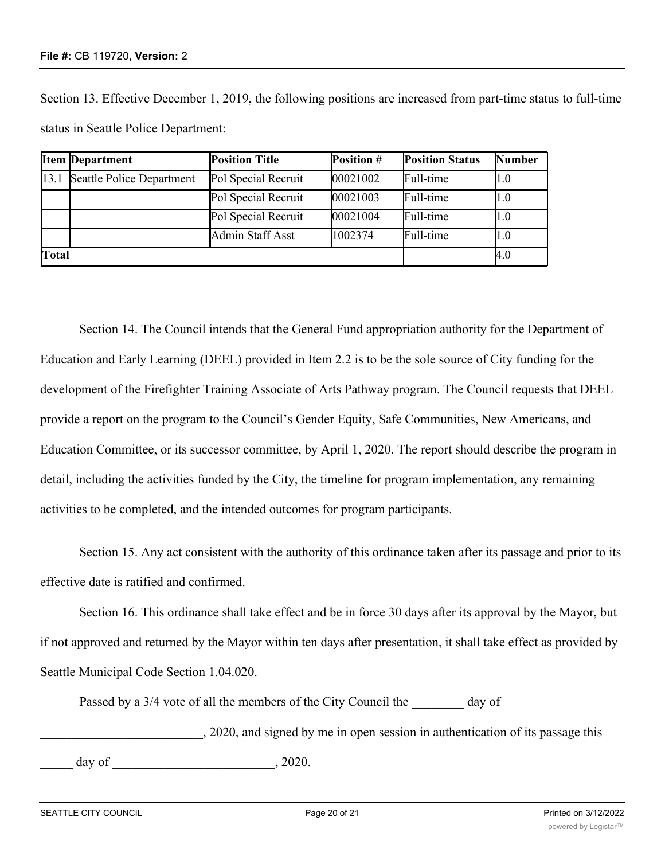Section 13. Effective December 1, 2019, the following positions are increased from part-time status to full-time status in Seattle Police Department:

|              | <b>Item Department</b>    | <b>Position Title</b> | Position # | <b>Position Status</b> | <b>Number</b> |
|--------------|---------------------------|-----------------------|------------|------------------------|---------------|
| 13.1         | Seattle Police Department | Pol Special Recruit   | 00021002   | Full-time              | I1.0          |
|              |                           | Pol Special Recruit   | 00021003   | Full-time              | I1.0          |
|              |                           | Pol Special Recruit   | 00021004   | Full-time              | l1.0          |
|              |                           | Admin Staff Asst      | 1002374    | Full-time              | l1.0          |
| <b>Total</b> |                           |                       | 4.0        |                        |               |

Section 14. The Council intends that the General Fund appropriation authority for the Department of Education and Early Learning (DEEL) provided in Item 2.2 is to be the sole source of City funding for the development of the Firefighter Training Associate of Arts Pathway program. The Council requests that DEEL provide a report on the program to the Council's Gender Equity, Safe Communities, New Americans, and Education Committee, or its successor committee, by April 1, 2020. The report should describe the program in detail, including the activities funded by the City, the timeline for program implementation, any remaining activities to be completed, and the intended outcomes for program participants.

Section 15. Any act consistent with the authority of this ordinance taken after its passage and prior to its effective date is ratified and confirmed.

Section 16. This ordinance shall take effect and be in force 30 days after its approval by the Mayor, but if not approved and returned by the Mayor within ten days after presentation, it shall take effect as provided by Seattle Municipal Code Section 1.04.020.

Passed by a 3/4 vote of all the members of the City Council the day of

\_\_\_\_\_\_\_\_\_\_\_\_\_\_\_\_\_\_\_\_\_\_\_\_\_, 2020, and signed by me in open session in authentication of its passage this

 $day of$ , 2020.